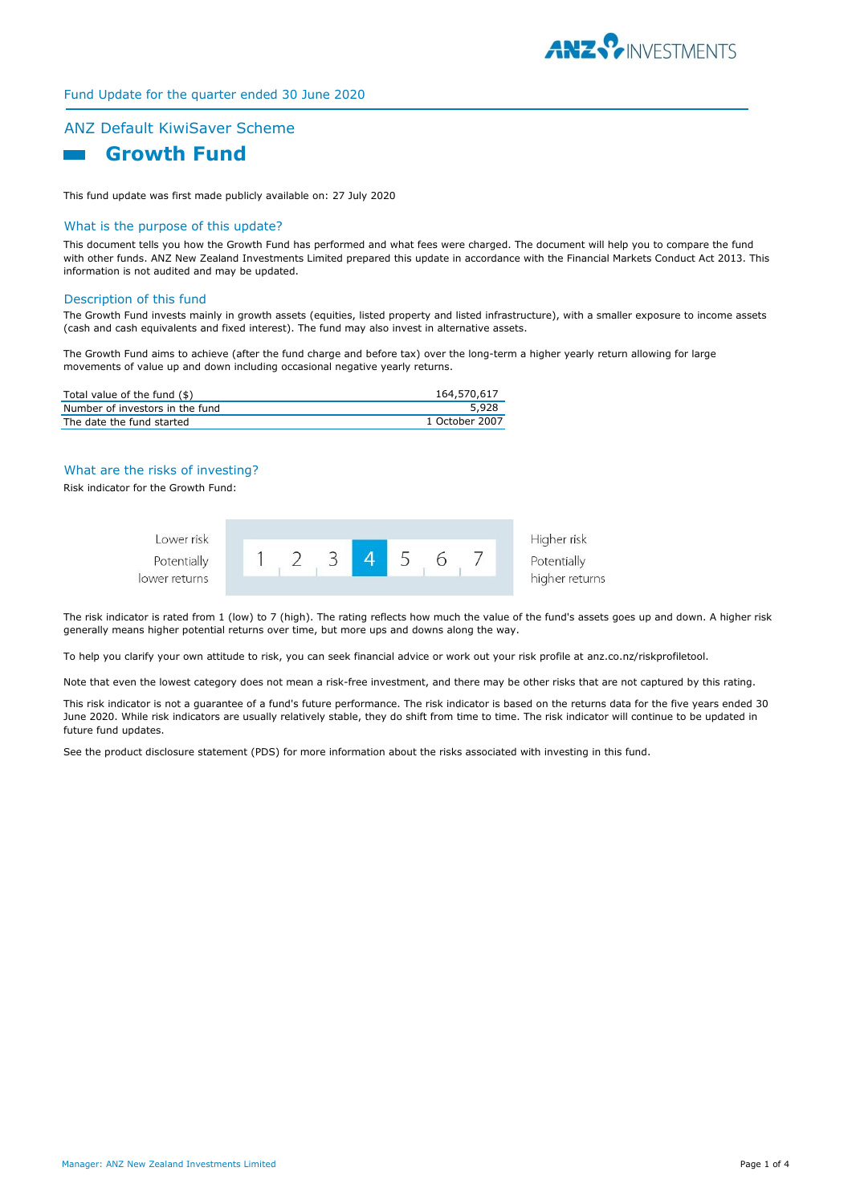

# Fund Update for the quarter ended 30 June 2020

# ANZ Default KiwiSaver Scheme  **Growth Fund**

This fund update was first made publicly available on: 27 July 2020

## What is the purpose of this update?

This document tells you how the Growth Fund has performed and what fees were charged. The document will help you to compare the fund with other funds. ANZ New Zealand Investments Limited prepared this update in accordance with the Financial Markets Conduct Act 2013. This information is not audited and may be updated.

### Description of this fund

The Growth Fund invests mainly in growth assets (equities, listed property and listed infrastructure), with a smaller exposure to income assets (cash and cash equivalents and fixed interest). The fund may also invest in alternative assets.

The Growth Fund aims to achieve (after the fund charge and before tax) over the long-term a higher yearly return allowing for large movements of value up and down including occasional negative yearly returns.

| Total value of the fund $(\$)$  | 164,570,617    |
|---------------------------------|----------------|
| Number of investors in the fund | 5.928          |
| The date the fund started       | 1 October 2007 |

# What are the risks of investing?

Risk indicator for the Growth Fund:



The risk indicator is rated from 1 (low) to 7 (high). The rating reflects how much the value of the fund's assets goes up and down. A higher risk generally means higher potential returns over time, but more ups and downs along the way.

To help you clarify your own attitude to risk, you can seek financial advice or work out your risk profile at anz.co.nz/riskprofiletool.

Note that even the lowest category does not mean a risk-free investment, and there may be other risks that are not captured by this rating.

This risk indicator is not a guarantee of a fund's future performance. The risk indicator is based on the returns data for the five years ended 30 June 2020. While risk indicators are usually relatively stable, they do shift from time to time. The risk indicator will continue to be updated in future fund updates.

See the product disclosure statement (PDS) for more information about the risks associated with investing in this fund.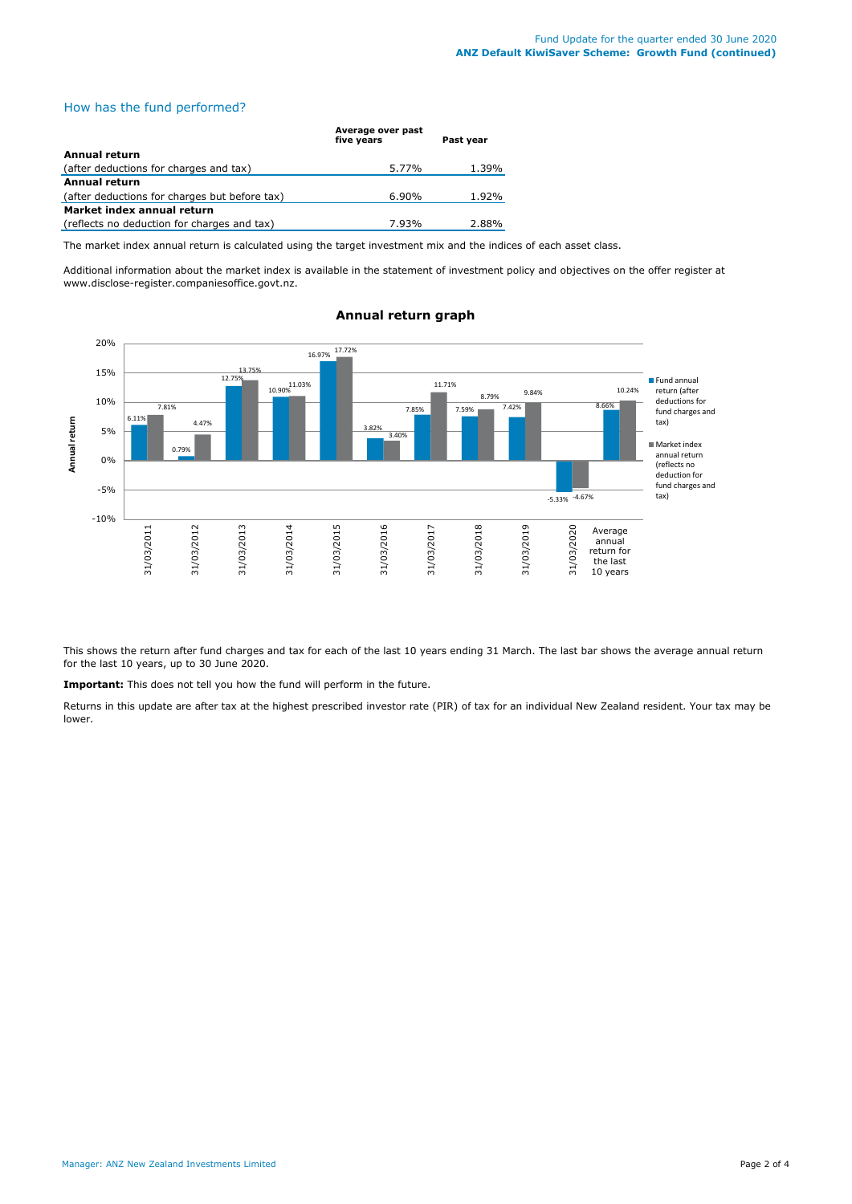# How has the fund performed?

|                                               | Average over past<br>five years | Past year |
|-----------------------------------------------|---------------------------------|-----------|
| Annual return                                 |                                 |           |
| (after deductions for charges and tax)        | 5.77%                           | 1.39%     |
| Annual return                                 |                                 |           |
| (after deductions for charges but before tax) | $6.90\%$                        | 1.92%     |
| Market index annual return                    |                                 |           |
| (reflects no deduction for charges and tax)   | 7.93%                           | 2.88%     |

The market index annual return is calculated using the target investment mix and the indices of each asset class.

Additional information about the market index is available in the statement of investment policy and objectives on the offer register at www.disclose-register.companiesoffice.govt.nz.



## **Annual return graph**

This shows the return after fund charges and tax for each of the last 10 years ending 31 March. The last bar shows the average annual return for the last 10 years, up to 30 June 2020.

**Important:** This does not tell you how the fund will perform in the future.

Returns in this update are after tax at the highest prescribed investor rate (PIR) of tax for an individual New Zealand resident. Your tax may be lower.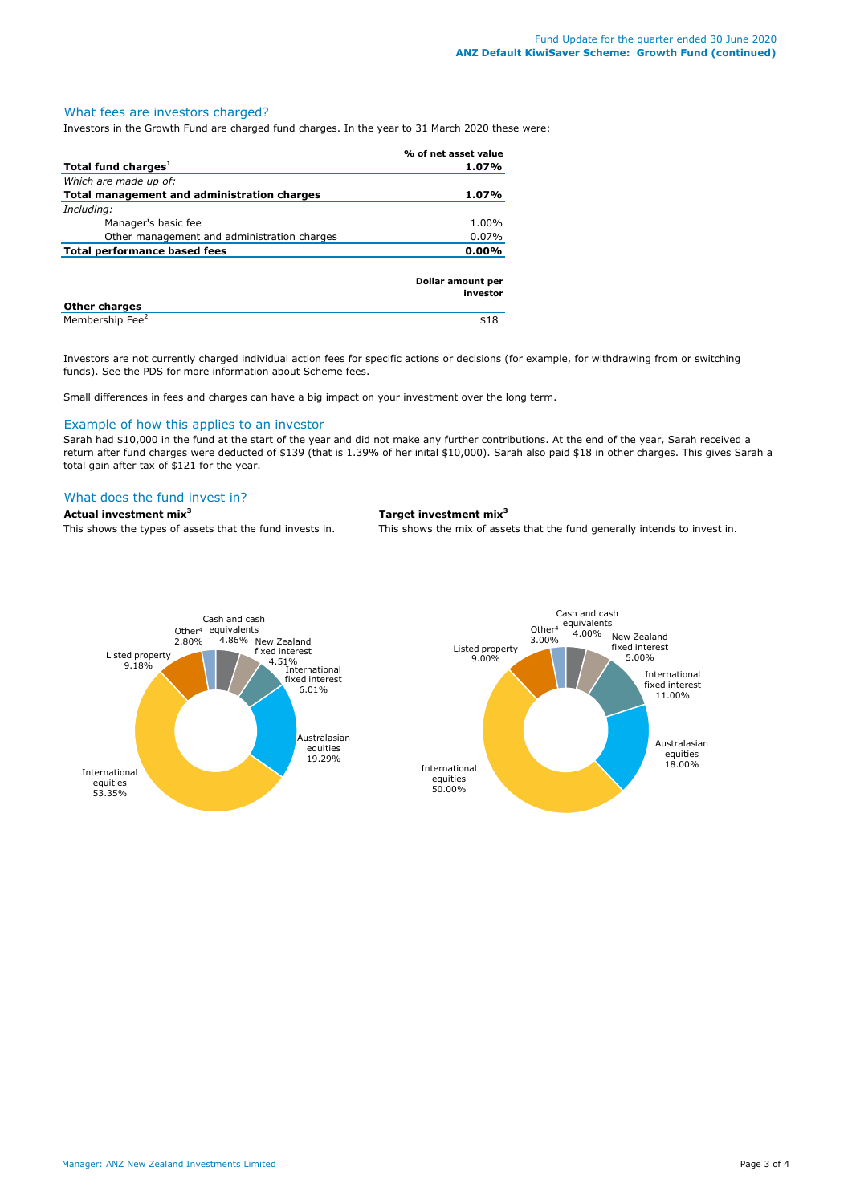## What fees are investors charged?

Investors in the Growth Fund are charged fund charges. In the year to 31 March 2020 these were:

|                                             | % of net asset value          |
|---------------------------------------------|-------------------------------|
| Total fund charges <sup>1</sup>             | 1.07%                         |
| Which are made up of:                       |                               |
| Total management and administration charges | 1.07%                         |
| Including:                                  |                               |
| Manager's basic fee                         | 1.00%                         |
| Other management and administration charges | 0.07%                         |
| Total performance based fees                | $0.00\%$                      |
|                                             | Dollar amount per<br>investor |
| <b>Other charges</b>                        |                               |

Membership Fee<sup>2</sup>

Investors are not currently charged individual action fees for specific actions or decisions (for example, for withdrawing from or switching funds). See the PDS for more information about Scheme fees.

Small differences in fees and charges can have a big impact on your investment over the long term.

## Example of how this applies to an investor

Sarah had \$10,000 in the fund at the start of the year and did not make any further contributions. At the end of the year, Sarah received a return after fund charges were deducted of \$139 (that is 1.39% of her inital \$10,000). Sarah also paid \$18 in other charges. This gives Sarah a total gain after tax of \$121 for the year.

## What does the fund invest in?

### **Actual investment mix<sup>3</sup> Target investment mix<sup>3</sup>**

\$18

This shows the types of assets that the fund invests in. This shows the mix of assets that the fund generally intends to invest in.